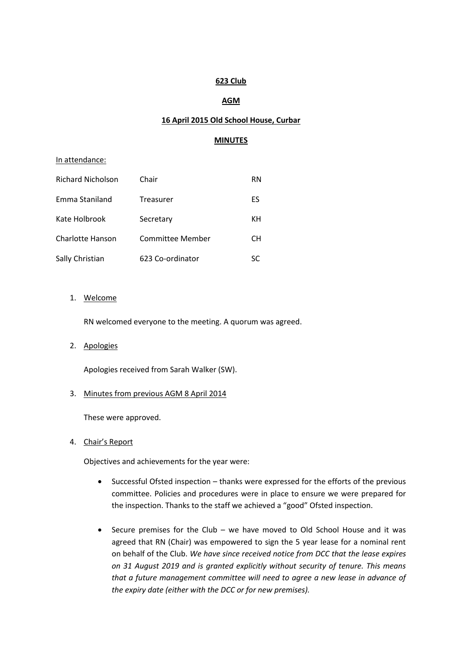### **623 Club**

# **AGM**

#### **16 April 2015 Old School House, Curbar**

#### **MINUTES**

#### In attendance:

| Richard Nicholson | Chair            | RN |
|-------------------|------------------|----|
| Emma Staniland    | Treasurer        | ES |
| Kate Holbrook     | Secretary        | KН |
| Charlotte Hanson  | Committee Member | CН |
| Sally Christian   | 623 Co-ordinator | SC |

#### 1. Welcome

RN welcomed everyone to the meeting. A quorum was agreed.

2. Apologies

Apologies received from Sarah Walker (SW).

#### 3. Minutes from previous AGM 8 April 2014

These were approved.

4. Chair's Report

Objectives and achievements for the year were:

- Successful Ofsted inspection thanks were expressed for the efforts of the previous committee. Policies and procedures were in place to ensure we were prepared for the inspection. Thanks to the staff we achieved a "good" Ofsted inspection.
- Secure premises for the Club we have moved to Old School House and it was agreed that RN (Chair) was empowered to sign the 5 year lease for a nominal rent on behalf of the Club. *We have since received notice from DCC that the lease expires on 31 August 2019 and is granted explicitly without security of tenure. This means that a future management committee will need to agree a new lease in advance of the expiry date (either with the DCC or for new premises).*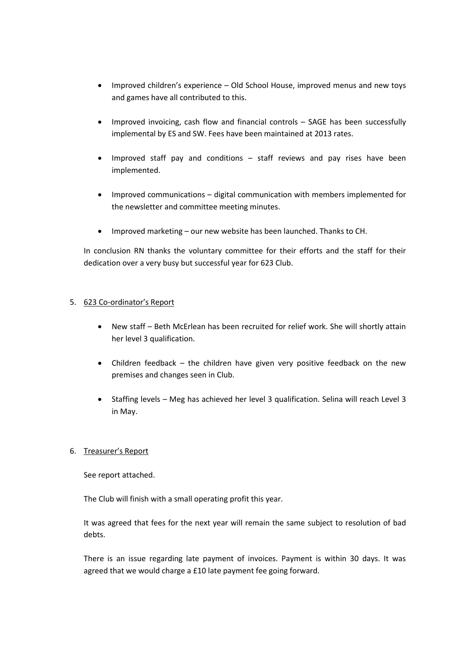- Improved children's experience Old School House, improved menus and new toys and games have all contributed to this.
- Improved invoicing, cash flow and financial controls SAGE has been successfully implemental by ES and SW. Fees have been maintained at 2013 rates.
- Improved staff pay and conditions staff reviews and pay rises have been implemented.
- Improved communications digital communication with members implemented for the newsletter and committee meeting minutes.
- Improved marketing our new website has been launched. Thanks to CH.

In conclusion RN thanks the voluntary committee for their efforts and the staff for their dedication over a very busy but successful year for 623 Club.

## 5. 623 Co-ordinator's Report

- New staff Beth McErlean has been recruited for relief work. She will shortly attain her level 3 qualification.
- Children feedback the children have given very positive feedback on the new premises and changes seen in Club.
- Staffing levels Meg has achieved her level 3 qualification. Selina will reach Level 3 in May.

# 6. Treasurer's Report

See report attached.

The Club will finish with a small operating profit this year.

It was agreed that fees for the next year will remain the same subject to resolution of bad debts.

There is an issue regarding late payment of invoices. Payment is within 30 days. It was agreed that we would charge a £10 late payment fee going forward.